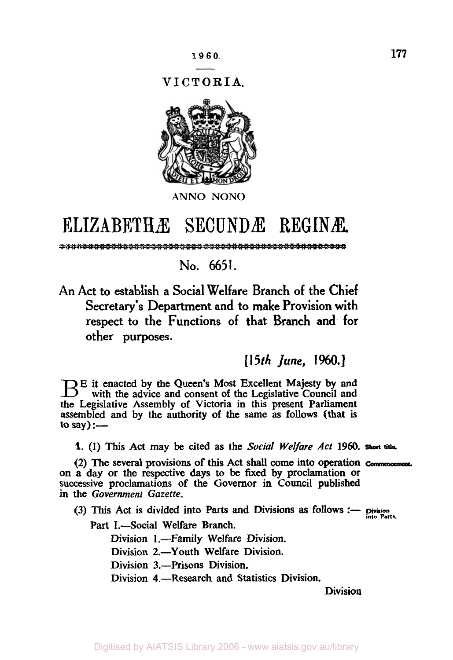*VICTORIA.* 



# ELIZABETHÆ SECUNDÆ **REGINÆ**

%!+%

**No. 6651.** 

An Act to establish a Social Welfare Branch of the Chief Secretary's Department and to make Provision with respect to the Functions of that Branch and. for other purposes.

*[15th June,* 1960.]

E it enacted by the Queen's Most Excellent Majesty by and with the advice and consent of the Legislative Council and the Legislative Assembly of Victoria in this present Parliament assembled and by the authority of the **same as** follows (that is to say) : $-$ 

**1.** (1) This **Act** may be cited **as** the *Social Welfare* Act 1960. *short* **title.** 

**(2)** The several provisions of this Act **shall** come into operation *commencement.*  **on** a day or the respective days to be fixed **by** proclamation or successive proclamations of the Governor in Council published in the Government Gazette.

**(3) This Act is divided into Parts and Divisions as follows :- <b>Division** Part I.-Social Welfare Branch.

**into Parts.** 

Division 1.-Family Welfare Division.

Division 2.-Youth Welfare Division.

Division 3.-Prisons Division.

Division 4.—Research and Statistics Division.

Division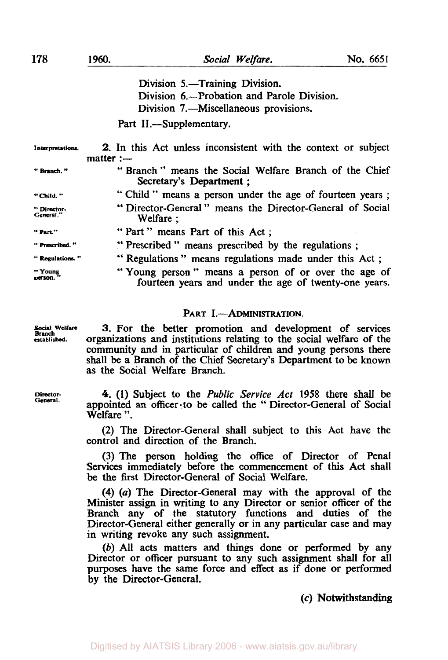**178** 

|                         | Division 5.-Training Division.<br>Division 6.—Probation and Parole Division.<br>Division 7.—Miscellaneous provisions. |
|-------------------------|-----------------------------------------------------------------------------------------------------------------------|
|                         | Part II.—Supplementary.                                                                                               |
| Interpretations.        | 2. In this Act unless inconsistent with the context or subject<br>matter:                                             |
| "Branch."               | "Branch" means the Social Welfare Branch of the Chief<br>Secretary's Department;                                      |
| " Child. "              | "Child" means a person under the age of fourteen years;                                                               |
| "Director-<br>General." | "Director-General" means the Director-General of Social<br>Welfare:                                                   |
| " Part."                | "Part" means Part of this Act;                                                                                        |
| "Prescribed."           | "Prescribed" means prescribed by the regulations;                                                                     |
| " Regulations."         | " Regulations" means regulations made under this Act;                                                                 |
| "Young<br>person.       | "Young person" means a person of or over the age of<br>fourteen years and under the age of twenty-one years.          |

## PART I.-ADMINISTRATION.

**3.** For the better promotion and development of services organizations and institutions relating to the social welfare of the community and in particular of children and young persons there shall be a Branch of the Chief Secretary's Department to be known as the Social Welfare Branch.

*4.* **(1)** Subject to the *Public Service* Act 1958 there shall be appointed **an** officer - to be called the " Director-General of Social Welfare ".

(2) The Director-General shall subject to this Act have the control and direction of the Branch.

(3) The **person** holding the office of Director of Penal Services immediately before the commencement of this Act shall be the first Director-General of Social Welfare.

**(4)** *(a)* The Director-General may with the approval of the Minister assign in writing to any Director or senior officer of the Branch any of the statutory functions and duties of the Director-General either generally or in any particular case and may in writing revoke any such assignment.

*(b)* All acts matters and things done or performed by any Director or officer pursuant to any such assignment shall for all purposes have the same force and effect as if done or performed by the Director-General.

*(c)* **Notwithstanding** 

**Social Welfare Branch established.** 

**Director-General.**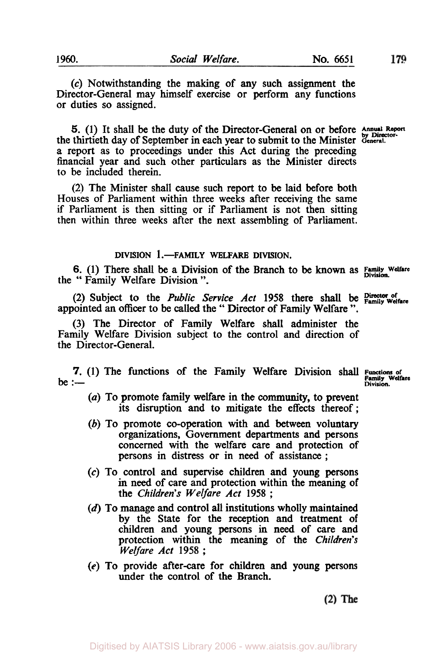*(c)* Notwithstanding the making of any such assignment the Director-General may himself exercise or **perform** any functions or duties so assigned.

*5.* **(1)** It shall be the duty of the Director-General on or before **Annual Report by Director**the thirtieth day of September in each year to submit to the Minister General. a report **as** to proceedings under this Act during the preceding financial year and such other particulars as the Minister directs to be included therein.

(2) The Minister shall cause such report to be laid before both Houses of Parliament within three weeks after receiving the same if Parliament is then sitting or if Parliament is not then sitting then within three weeks after the next assembling of Parliament.

## **DIVISION 1 .-FAMILY WELFARE DIVISION.**

**6.** (1) There shall be a Division of the Branch to be known as **Family Welfare** the " Family Welfare Division ".

**(2)** Subject to the *Public Service* Act **1958** there shall be **Director of Family Welfare**  appointed an officer to be **called** the " Director of Family Welfare ".

(3) The Director of Family Welfare shall administer the Family Welfare Division subject to the control and direction of the Director-General.

**7.** (1) The functions of the Family Welfare Division shall **Functions** of **be** :--

- (a) To promote family welfare in the community, to prevent its disruption and to mitigate the effects thereof:
- (b) To promote co-operation with and between voluntary organizations, Government departments and persons concerned with the welfare care and protection of persons in distress or in need of assistance ;
- *(c)* **To** control and supervise children and young persons in need of care and protection within the meaning of the *Children's Welfare* Act **1958** ;
- (d) To manage **and** control all institutions wholly maintained by the State for the reception and treatment of children and young persons in **need** of care and protection within the meaning of the *Children's Welfare* Act **1958** ;
- **(e)** To provide after-care for children and young persons under the control of the Branch.

 $(2)$  The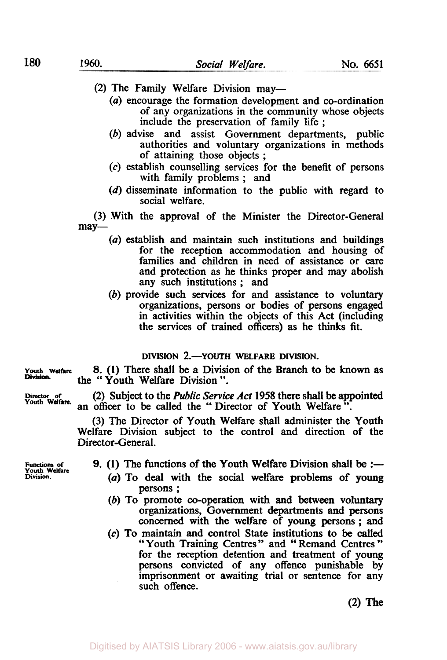- *(a)* encourage the formation development and co-ordination of any organizations in the community whose objects include the preservation of family life ;
- *(b)* advise and assist Government departments, public authorities and voluntary organizations in methods of attaining those objects ;
- *(c)* establish counselling services for the benefit of persons with family problems ; and
- (d) disseminate information to the public with regard to social welfare.

(3) With the approval of the Minister the Director-General may-

- *(a)* establish and maintain such institutions and buildings for the reception accommodation and housing of families and children in need of assistance or care and protection as he thinks proper and may abolish any such institutions ; and
- *(b)* provide such services for and assistance to voluntary organizations, persons or bodies of persons engaged in activities within the objects of this Act (including the services of trained officers) as he thinks fit.

**DIVISION 2.-YOUTH WELFARE DIVISION.** 

**Youth Welfare**  *8.* **(1)** There shall be a Division of the Branch to be **known as**  the " Youth Welfare Division ". **Division.** 

> **(2)** Subject to the *Public Service* Act **1958** there **shall be** appointed an officer to be called the "Director of Youth Welfare".

> (3) The Director of Youth Welfare shall administer the Youth Welfare Division subject to the control and direction of the Director-General.

**Functions** *of*  **Youth Welfare Division.** 

**Director of Youth Welfare.** 

- **9.** (1) The functions of the Youth Welfare Division shall be :-
	- (a) To deal with the social welfare problems of young persons ;
	- *(b)* To promote co-operation with and between voluntary organizations, Government departments and persons concerned with the welfare of **young persons;** and
	- **(c) To** maintain and control State institutions to be called "Youth Training Centres" and "Remand Centres" for the reception detention and treatment of young persons convicted of any offence punishable by imprisonment or awaiting trial or sentence for any such offence.

**(2)** The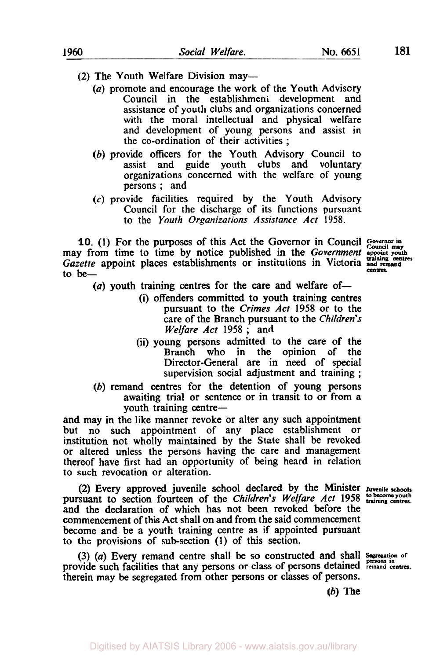- (2) The Youth Welfare Division may—
	- *(a)* promote and encourage the work of the Youth Advisory Council in the establishment development and assistance of youth clubs and organizations concerned with the moral intellectual and physical welfare and development of young persons and assist in the co-ordination of their activities ;
	- (b) provide officers for the Youth Advisory Council to assist and guide youth clubs and voluntary and guide youth clubs and voluntary organizations concerned with the welfare of young persons ; and
	- *(c)* provide facilities required by the Youth Advisory Council for the discharge of its functions pursuant to the *Youth Organizations Assistance Act* **1958.**

**10. (1)** For the purposes of this Act the Governor in Council *Governor in Council may*  may from time to time by notice published in the *Government* appoint youth *Gazette* appoint places establishments or institutions in Victoria and **remand training centres**  to **be-**

centres.

- (a) youth training centres for the care and welfare of-
	- (i) offenders committed to youth training centres pursuant to the *Crimes Act* **1958** or to the care of the Branch pursuant to the *Children's Welfare Act* **1958** ; and
	- (ii) young persons admitted to the care of the Branch who in the opinion of the Director-General are in need of special supervision social adjustment and training ;
- (b) remand centres for the detention of young persons awaiting trial or sentence or in transit to or from a youth training centre-

and may in the like manner revoke or alter any such appointment but no such appointment of any place establishment or institution not wholly maintained by the State shall be revoked or altered unless the persons having the care and management thereof have first had an opportunity of being heard in relation to such revocation or alteration.

(2) Every approved juvenile school declared by the Minister **Juvenile schools**  pursuant to section fourteen of the *Children's Welfare Act* 1958 **to become youth** pursuant to section fourtees. and the declaration of which has not been revoked before the commencement of this Act shall on and from the said commencement become and be a youth training centre as if appointed pursuant to the provisions of sub-section **(1)** of this section.

*(3) (a)* Every remand centre shall be **so** constructed and shall **Segregation of persons in**  provide such facilities that any persons or class of persons detained **remand centra.**  therein may be segregated from other persons or classes of persons.

**(b)** The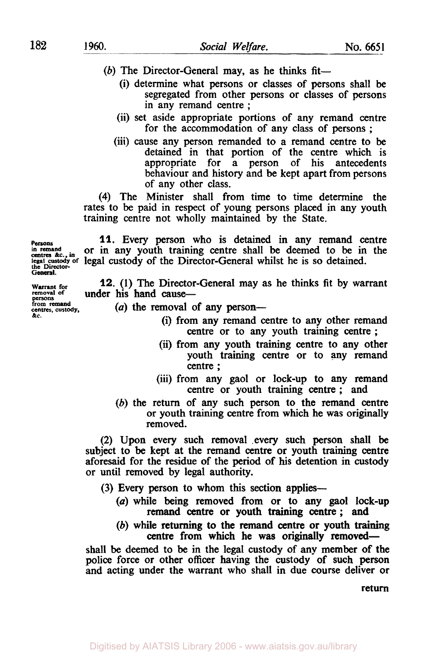- (b) The Director-General may, as he thinks fit-
	- (i) determine what persons or classes of persons shall be segregated from other persons or classes of persons in any remand centre ;
	- (ii) set aside appropriate portions of any remand centre for the accommodation of any class of persons ;
	- (iii) cause any person remanded to a remand centre to be detained in that portion of the centre which is appropriate for a person of his antecedents behaviour and history and be kept apart from persons of any other class.

**(4)** The Minister shall from time to time determine the rates to be paid in respect of young persons placed in any youth training centre not wholly maintained by the State.

**Persons 11.** Every person who is detained in any remand centre in remand contre in remand contre in the in the in the **centres in remand &., in** or in any youth training centre shall be deemed to be in the legal custody of the Director-General whilst he is so detained.

*Warrant* for **12. (1)** The Director-General may as he thinks fit by warrant under his hand cause-

- (a) the removal of any person-
	- (i) from any remand centre to any other remand centre or to any youth training centre ;
	- (ii) from any youth training centre to any other youth training centre or to any remand centre ;
	- (iii) from any gaol or lock-up to any remand centre or youth training centre ; and
	- (b) the return of any such person to the remand centre or youth training centre from which he was originally removed.

**(2) Upon** every such removal .every such person shall be subject to be kept at the remand centre or youth training centre aforesaid for the residue of the period of **his** detention in custody or until removed by legal authority.

(3) Every person to whom this section applies—

- *(a)* while being removed from or to any gaol lock-up remand centre or youth training centre ; and
- (b) while returning to the remand centre or youth training centre from which he was originally removed-

shall be deemed to be in the legal custody of any member of the police force or other officer having the custody of such person and acting under the warrant who shall in due course deliver or

return

**removal of General. from remand** 

**centres, custody, &C.**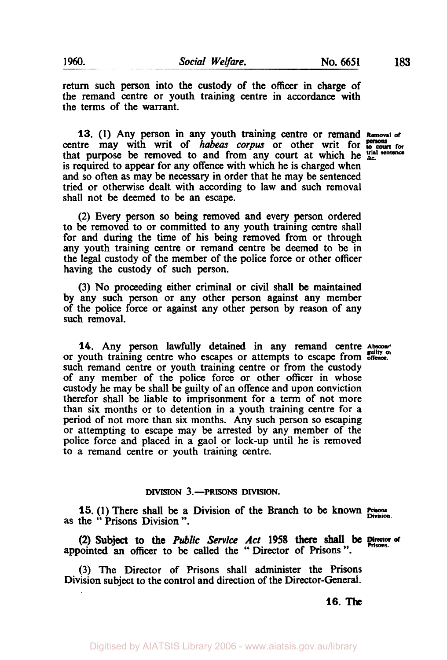return such person into the custody of the officer in charge of the remand centre or youth training centre in accordance with the terms of the warrant.

**13. (1)** Any person in any youth training centre or remand **Removal or**  centre may with writ of *habeas corpus* or other writ for **persons** for that purpose be removed to and from any **court** at which he **trial sentence &c.**  is required to appear for any offence with which he is charged when and so often as may be necessary in order that he may be sentenced tried or otherwise dealt with according to law and such removal shall not be deemed to be an escape.

(2) Every person **so** being removed and every person ordered to be removed to or committed to any youth training centre shall for and during the time of his being removed from or through any youth training centre or remand centre be deemed to be in the legal custody of the member of the police force or other officer having the custody *of* such person.

(3) **No** proceeding either criminal or civil shall be maintained by any such person or any other person against any member of the police force or against any other person by reason of any such removal.

14. Any person lawfully detained in any remand centre Absconding or youth training centre who escapes or attempts to escape from **offence.**  such remand centre or youth training centre or from the custody of any member of the police force or other officer in whose custody he may be shall be guilty of an offence and upon conviction therefor shall be liable to imprisonment for a term of not more than six months or to detention in a youth training centre for a period of not more than six months. Any such person **so** escaping or attempting to escape may be arrested by any member of the police force and placed in a gaol or lock-up until he is removed to a remand centre or youth training centre.

#### **DIVISION 3.-PRISONS DIVISION.**

**15.** (1) There shall be a Division of the Branch to be **known** Prisons Division as the " Prisons Division ".

appointed an officer to be called the '' Director of **Prisons** ". **(2)** Subject to the *Public Service* Act **1958** there shall be **rector of Prisons.** 

Digitised by AIATSIS Library 2006 - www.aiatsis.gov.au/library

(3) The Director of Prisons shall administer the Prisons Division subject to the control and direction of the Director-General.

**16.** The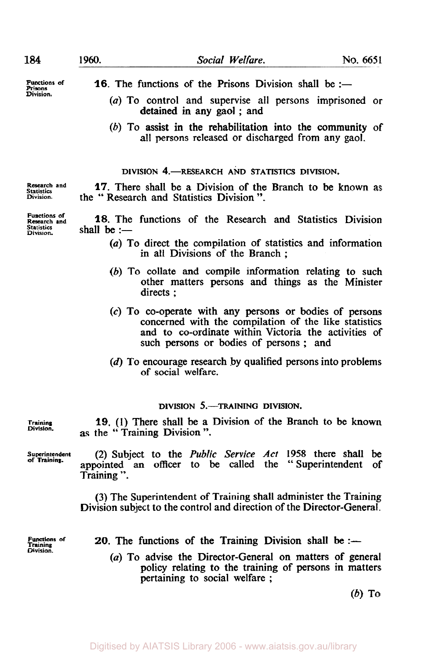**Division.** 

**Statistics Division.** 

**Functions of Research and Statistics** 

Research and

- **Functions of 16.** The functions of the Prisons Division shall be :-
	- (a) To control and supervise all persons imprisoned or detained in any gaol ; and
	- (b) To assist in the rehabilitation into the community of all persons released or discharged from any gaol.

**DIVISION 4.-RESEARCH AND STATISTICS DIVISION.** 

**17.** There shall be a Division of the Branch to be known as the " Research and Statistics Division ".

**18.** The functions of the Research and Statistics Division shall be :-

- (a) To direct the compilation of statistics and information in all Divisions of the Branch ;
- *(b)* To collate and compile information relating to such other matters persons and things as the Minister directs ;
- **(c)** To co-operate with any persons or bodies of persons concerned with the compilation of the like statistics and to co-ordinate within Victoria the activities of such persons or bodies of persons ; and
- (d) To encourage research by qualified **persons** into problems of social welfare.

#### **DIVISION 5.-TRAINING DIVISION.**

**Training 19.** (I) There shall be a Division of the Branch to be known as the " Training Division ". **Division.** 

**of Training.** 

**Superintendent (2)** Subject to the *Public Service* Act **1958** there shall be appointed an officer to be called the "Superintendent of Training ".

> (3) The Superintendent of Training shall administer the Training Division subject to the control and direction of the Director-General.

**Division.** 

- Functions of **20.** The functions of the Training Division shall be :-
	- (a) To advise the Director-General on matters of general policy relating to the training of persons in matters pertaining to social welfare ;

*(b)* **To**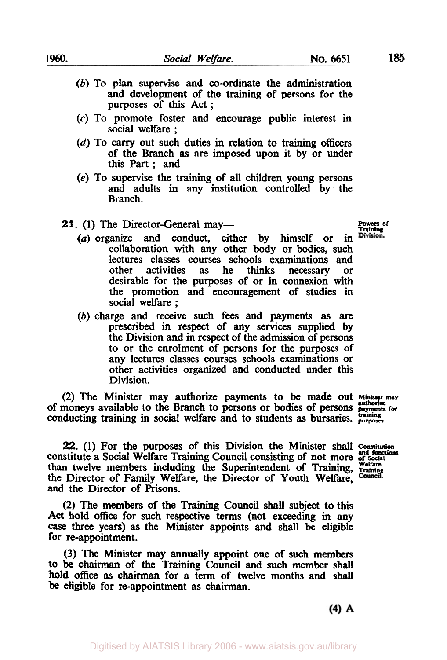- - (b) To plan supervise and co-ordinate the administration and development of the training of persons for the purposes of this Act ;
	- *(c)* To promote foster and encourage public interest in social welfare ;
	- (d) To *carry* out such duties in relation to training officers of the Branch as are imposed upon it by or under this Part ; and
	- (e) To supervise the training of all children young persons and adults in any institution controlled by the Branch.
	- 21. (1) The Director-General may-
		- *(a)* organize and conduct, either by himself or in collaboration with any other body or bodies, such lectures classes courses schools examinations and other activities as he thinks necessary or other activities as he thinks necessary or desirable for the purposes of or in connexion with the promotion and encouragement of studies in social welfare ;
		- (b) charge and receive such fees and payments **as are**  prescribed in respect of any services supplied by the Division and in respect of the admission of persons to or the enrolment of persons for the purposes of any lectures classes courses schools examinations or other activities organized and conducted under this Division.

**(2)** The Minister may authorize payments to be made out **Minister may**  of moneys available to the Branch to persons or **bodies** of persons **payments for authorize**  conducting training in social welfare and to students as bursaries. training purposes.

**Powers of**  Division

**22.** (1) For the purposes of this Division the Minister shall Constitution constitute a Social Welfare Training Council consisting of not more and Social functions is than twelve members including the Superintendent of Training, **Welfare Training**  the Director of Family Welfare, the Director of Youth Welfare, and the Director of Prisons.

**(2)** The members of the Training Council shall subject to this **Act** hold **office** for such respective terms (not exceeding in any *case* three years) as the Minister appoints and shall be eligible for re-appointment.

(3) The Minister may annually appoint one of such members to **be** chairman of the Training Council and such member shall hold **office** as chairman for a term of twelve months and shall be eligible for re-appointment as chairman.

 $(4)$  A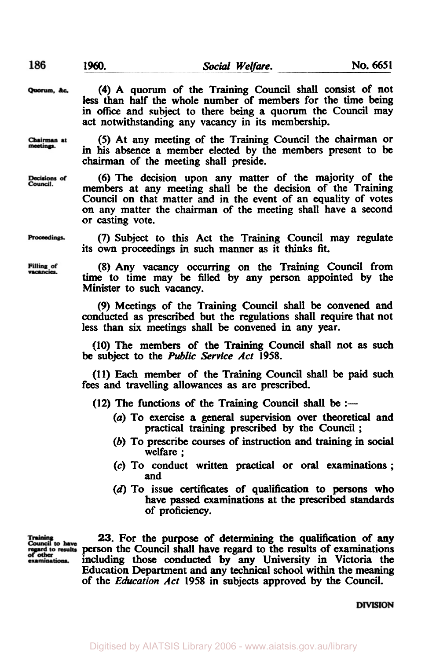Quorum, &c.

Chairman at meetings.

Decisions of Council

**(4)** A quorum of the Training Council shall consist of not **less** than half the whole number of members for the time being in office and subject to there being a quorum the Council may act notwithstanding any vacancy in its membership.

*(5)* At any meeting of the Training Council the chairman or in his absence a member elected by the members present to be chairman of the meeting shall preside.

(6) The decision upon any matter of the majority of the members at any meeting shall be the decision of the Training Council **on** that matter **and** in the event **of** an equality of votes **on** any matter the chairman **of** the meeting shall have a second or casting vote.

Proceedings.

Filling of vacancies.

*(7)* Subject to this Act the Training Council may regulate its **own** proceedings in such manner **as** it thinks fit.

*(8)* **Any** vacancy occurring **on** the Training Council from time to time may be filled by any person appointed by the Minister to such vacancy.

*(9)* Meetings of the Training Council shall be convened and conducted **as** prescribed but the regulations shall require that not less than **six** meetings shall be convened in any year.

**(10)** The members of the Training Council shall not **as** such **be** subject to the *Public Service* Act *1958.* 

**(11)** Each member of the Training Council shall be paid such **fees** and travelling allowances **as** are prescribed.

 $(12)$  The functions of the Training Council shall be :-

- *(a)* To exercise **a** general supervision over theoretical and practical training prescribed by the Council ;
- (b) **To** prescribe courses of instruction and training in social welfare ;
- *(c)* To conduct written practical or oral examinations; and
- **(d)** To issue certificates of qualification to **persons** who have passed examinations at the prescribed standards of proficiency.

Training<br>Council to have gard to results  $\sim$ examinations.

**23.** For the purpose of determining the qualification of **any**  person the Council shall have regard to the results of examinations including those conducted by **any** University in Victoria the Education Department and any technical school within the meaning of the *Education* Act **1958** in subjects approved by the Council.

**DIVISION**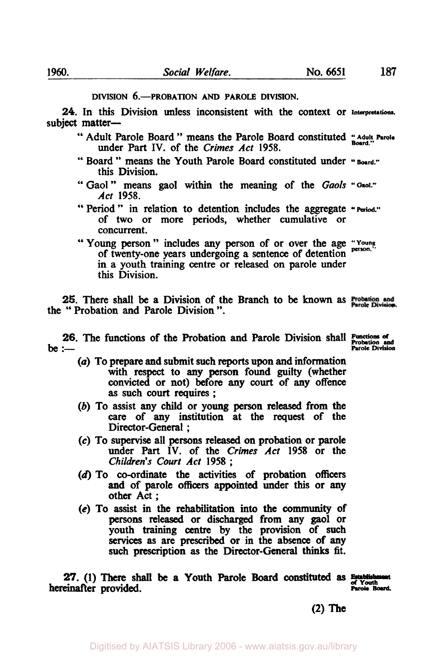### **DIVISION 6.-PROBATION AND PAROLE DIVISION.**

*24.* In this Division unless inconsistent with the context or **lnterpretations**  subject matter-

- " Adult Parole Board " means the Parole Board constituted *"Adult Parole Board*  under Part IV. of the *Crimes Act* 1958.
- " Board " means the Youth Parole Board constituted under "Board." this Division.
- " Gaol " means gaol within the meaning of the *Gaols* **"Gaol."**  *Act* 1958.
- "Period" in relation to detention includes the aggregate **"Period"**  of two or more **periods,** whether cumulative or concurrent.
- of twenty-one years undergoing a sentence of detention in a youth training centre or released on parole under this Division. " Young person " includes any person of or over the age "Young"

**25.** There shall be **a** Division of the Branch to be **known as**  the " Probation and Parole Division ".

**26.** The functions of the Probation and Parole Division shall Functions of Probation and be :---

- *(U)* **To** prepare and submit such **reports** upon and information with respect to any **person** found guilty (whether convicted or not) before any **court of** any offence **as** such **court** requires ;
- (b) **To** assist any child or young **person** released from the care of any institution at the request of the Director-General ;
- **(c) To** supervise all persons released **on** probation or parole under Part **IV.** of the *Crimes Act* 1958 or the *Children's Court Act* <sup>1958</sup>;
- **(d) To** co-ordinate the activities of probation officers and of parole officers appointed under this or any other Act ;
- *(e)* **To** assist in the rehabilitation into the **community** of persons released or discharged from any gaol or youth training centre by the provision of such **services as** are prescribed or in the **absence** of any such prescription as the Director-General thinks fit.

27. (1) There shall be a Youth Parole Board constituted as *Brablishm* hereinafter provided. The particle Board Board Board Board Board Board Board Board Board Board Board Board Board

**(2)** The